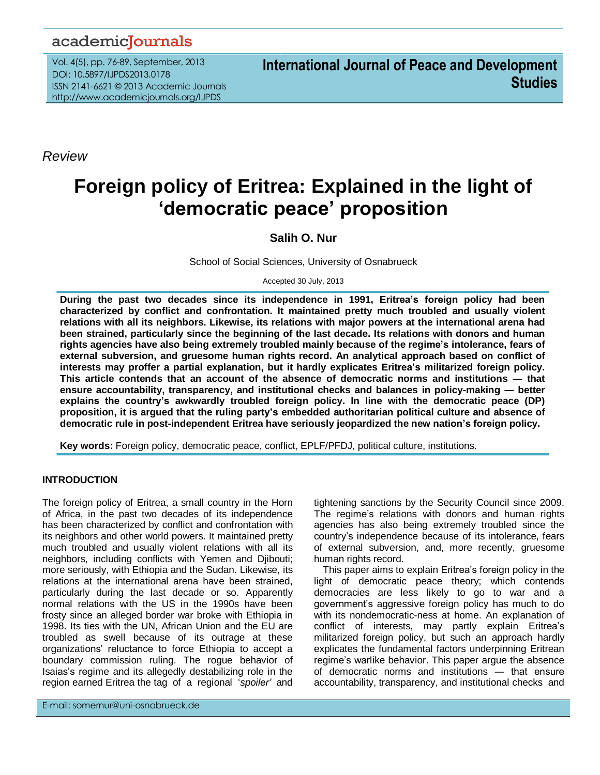## academicJournals

Vol. 4(5), pp. 76-89, September, 2013 DOI: 10.5897/IJPDS2013.0178 ISSN 2141-6621 © 2013 Academic Journals http://www.academicjournals.org/IJPDS

*Review*

# **Foreign policy of Eritrea: Explained in the light of 'democratic peace' proposition**

### **Salih O. Nur**

School of Social Sciences, University of Osnabrueck

Accepted 30 July, 2013

**During the past two decades since its independence in 1991, Eritrea's foreign policy had been characterized by conflict and confrontation. It maintained pretty much troubled and usually violent relations with all its neighbors. Likewise, its relations with major powers at the international arena had been strained, particularly since the beginning of the last decade. Its relations with donors and human rights agencies have also being extremely troubled mainly because of the regime's intolerance, fears of external subversion, and gruesome human rights record. An analytical approach based on conflict of interests may proffer a partial explanation, but it hardly explicates Eritrea's militarized foreign policy. This article contends that an account of the absence of democratic norms and institutions ― that ensure accountability, transparency, and institutional checks and balances in policy-making ― better explains the country's awkwardly troubled foreign policy. In line with the democratic peace (DP) proposition, it is argued that the ruling party's embedded authoritarian political culture and absence of democratic rule in post-independent Eritrea have seriously jeopardized the new nation's foreign policy.** 

**Key words:** Foreign policy, democratic peace, conflict, EPLF/PFDJ, political culture, institutions.

#### **INTRODUCTION**

The foreign policy of Eritrea, a small country in the Horn of Africa, in the past two decades of its independence has been characterized by conflict and confrontation with its neighbors and other world powers. It maintained pretty much troubled and usually violent relations with all its neighbors, including conflicts with Yemen and Djibouti; more seriously, with Ethiopia and the Sudan. Likewise, its relations at the international arena have been strained, particularly during the last decade or so. Apparently normal relations with the US in the 1990s have been frosty since an alleged border war broke with Ethiopia in 1998. Its ties with the UN, African Union and the EU are troubled as swell because of its outrage at these organizations' reluctance to force Ethiopia to accept a boundary commission ruling. The rogue behavior of Isaias's regime and its allegedly destabilizing role in the region earned Eritrea the tag of a regional '*spoiler'* and

E-mail: somernur@uni-osnabrueck.de

tightening sanctions by the Security Council since 2009. The regime's relations with donors and human rights agencies has also being extremely troubled since the country's independence because of its intolerance, fears of external subversion, and, more recently, gruesome human rights record.

This paper aims to explain Eritrea's foreign policy in the light of democratic peace theory; which contends democracies are less likely to go to war and a government's aggressive foreign policy has much to do with its nondemocratic-ness at home. An explanation of conflict of interests, may partly explain Eritrea's militarized foreign policy, but such an approach hardly explicates the fundamental factors underpinning Eritrean regime's warlike behavior. This paper argue the absence of democratic norms and institutions ― that ensure accountability, transparency, and institutional checks and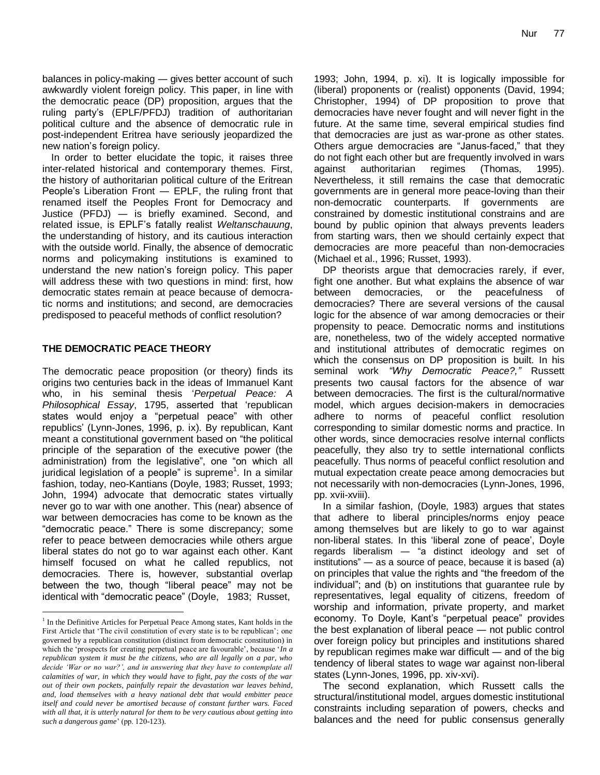balances in policy-making ― gives better account of such awkwardly violent foreign policy. This paper, in line with the democratic peace (DP) proposition, argues that the ruling party's (EPLF/PFDJ) tradition of authoritarian political culture and the absence of democratic rule in post-independent Eritrea have seriously jeopardized the new nation's foreign policy.

In order to better elucidate the topic, it raises three inter-related historical and contemporary themes. First, the history of authoritarian political culture of the Eritrean People's Liberation Front ― EPLF, the ruling front that renamed itself the Peoples Front for Democracy and Justice (PFDJ) ― is briefly examined. Second, and related issue, is EPLF's fatally realist *Weltanschauung*, the understanding of history, and its cautious interaction with the outside world. Finally, the absence of democratic norms and policymaking institutions is examined to understand the new nation's foreign policy. This paper will address these with two questions in mind: first, how democratic states remain at peace because of democratic norms and institutions; and second, are democracies predisposed to peaceful methods of conflict resolution?

#### **THE DEMOCRATIC PEACE THEORY**

 $\overline{a}$ 

The democratic peace proposition (or theory) finds its origins two centuries back in the ideas of Immanuel Kant who, in his seminal thesis '*Perpetual Peace: A Philosophical Essay*, 1795, asserted that 'republican states would enjoy a "perpetual peace" with other republics' (Lynn-Jones, 1996, p. ix). By republican, Kant meant a constitutional government based on "the political principle of the separation of the executive power (the administration) from the legislative", one "on which all juridical legislation of a people" is supreme<sup>1</sup>. In a similar fashion, today, neo-Kantians (Doyle, 1983; Russet, 1993; John, 1994) advocate that democratic states virtually never go to war with one another. This (near) absence of war between democracies has come to be known as the "democratic peace." There is some discrepancy; some refer to peace between democracies while others argue liberal states do not go to war against each other. Kant himself focused on what he called republics, not democracies. There is, however, substantial overlap between the two, though "liberal peace" may not be identical with "democratic peace" (Doyle, 1983; Russet,

1993; John, 1994, p. xi). It is logically impossible for (liberal) proponents or (realist) opponents (David, 1994; Christopher, 1994) of DP proposition to prove that democracies have never fought and will never fight in the future. At the same time, several empirical studies find that democracies are just as war-prone as other states. Others argue democracies are "Janus-faced," that they do not fight each other but are frequently involved in wars against authoritarian regimes (Thomas, 1995). Nevertheless, it still remains the case that democratic governments are in general more peace-loving than their non-democratic counterparts. If governments are constrained by domestic institutional constrains and are bound by public opinion that always prevents leaders from starting wars, then we should certainly expect that democracies are more peaceful than non-democracies (Michael et al., 1996; Russet, 1993).

DP theorists argue that democracies rarely, if ever, fight one another. But what explains the absence of war between democracies, or the peacefulness of democracies? There are several versions of the causal logic for the absence of war among democracies or their propensity to peace. Democratic norms and institutions are, nonetheless, two of the widely accepted normative and institutional attributes of democratic regimes on which the consensus on DP proposition is built. In his seminal work *"Why Democratic Peace?,"* Russett presents two causal factors for the absence of war between democracies. The first is the cultural/normative model, which argues decision-makers in democracies adhere to norms of peaceful conflict resolution corresponding to similar domestic norms and practice. In other words, since democracies resolve internal conflicts peacefully, they also try to settle international conflicts peacefully. Thus norms of peaceful conflict resolution and mutual expectation create peace among democracies but not necessarily with non-democracies (Lynn-Jones, 1996, pp. xvii-xviii).

In a similar fashion, (Doyle, 1983) argues that states that adhere to liberal principles/norms enjoy peace among themselves but are likely to go to war against non-liberal states. In this 'liberal zone of peace', Doyle regards liberalism ― "a distinct ideology and set of institutions" ― as a source of peace, because it is based (a) on principles that value the rights and "the freedom of the individual"; and (b) on institutions that guarantee rule by representatives, legal equality of citizens, freedom of worship and information, private property, and market economy. To Doyle, Kant's "perpetual peace" provides the best explanation of liberal peace ― not public control over foreign policy but principles and institutions shared by republican regimes make war difficult ― and of the big tendency of liberal states to wage war against non-liberal states (Lynn-Jones, 1996, pp. xiv-xvi).

The second explanation, which Russett calls the structural/institutional model, argues domestic institutional constraints including separation of powers, checks and balances and the need for public consensus generally

<sup>&</sup>lt;sup>1</sup> In the Definitive Articles for Perpetual Peace Among states, Kant holds in the First Article that 'The civil constitution of every state is to be republican'; one governed by a republican constitution (distinct from democratic constitution) in which the 'prospects for creating perpetual peace are favourable', because '*In a republican system it must be the citizens, who are all legally on a par, who decide 'War or no war?', and in answering that they have to contemplate all calamities of war, in which they would have to fight, pay the costs of the war out of their own pockets, painfully repair the devastation war leaves behind, and, load themselves with a heavy national debt that would embitter peace itself and could never be amortised because of constant further wars. Faced with all that, it is utterly natural for them to be very cautious about getting into such a dangerous game*' (pp. 120-123).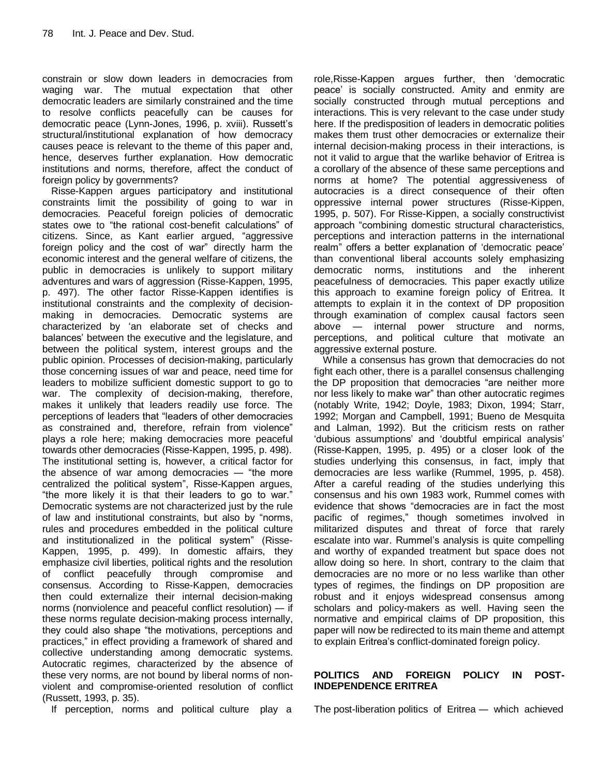constrain or slow down leaders in democracies from waging war. The mutual expectation that other democratic leaders are similarly constrained and the time to resolve conflicts peacefully can be causes for democratic peace (Lynn-Jones, 1996, p. xviii). Russett's structural/institutional explanation of how democracy causes peace is relevant to the theme of this paper and, hence, deserves further explanation. How democratic institutions and norms, therefore, affect the conduct of foreign policy by governments?

Risse-Kappen argues participatory and institutional constraints limit the possibility of going to war in democracies. Peaceful foreign policies of democratic states owe to "the rational cost-benefit calculations" of citizens. Since, as Kant earlier argued, "aggressive foreign policy and the cost of war" directly harm the economic interest and the general welfare of citizens, the public in democracies is unlikely to support military adventures and wars of aggression (Risse-Kappen, 1995, p. 497). The other factor Risse-Kappen identifies is institutional constraints and the complexity of decisionmaking in democracies. Democratic systems are characterized by 'an elaborate set of checks and balances' between the executive and the legislature, and between the political system, interest groups and the public opinion. Processes of decision-making, particularly those concerning issues of war and peace, need time for leaders to mobilize sufficient domestic support to go to war. The complexity of decision-making, therefore, makes it unlikely that leaders readily use force. The perceptions of leaders that "leaders of other democracies as constrained and, therefore, refrain from violence" plays a role here; making democracies more peaceful towards other democracies (Risse-Kappen, 1995, p. 498). The institutional setting is, however, a critical factor for the absence of war among democracies ― "the more centralized the political system", Risse-Kappen argues, "the more likely it is that their leaders to go to war." Democratic systems are not characterized just by the rule of law and institutional constraints, but also by "norms, rules and procedures embedded in the political culture and institutionalized in the political system" (Risse-Kappen, 1995, p. 499). In domestic affairs, they emphasize civil liberties, political rights and the resolution of conflict peacefully through compromise and consensus. According to Risse-Kappen, democracies then could externalize their internal decision-making norms (nonviolence and peaceful conflict resolution) ― if these norms regulate decision-making process internally, they could also shape "the motivations, perceptions and practices," in effect providing a framework of shared and collective understanding among democratic systems. Autocratic regimes, characterized by the absence of these very norms, are not bound by liberal norms of nonviolent and compromise-oriented resolution of conflict (Russett, 1993, p. 35).

If perception, norms and political culture play a

role,Risse-Kappen argues further, then 'democratic peace' is socially constructed. Amity and enmity are socially constructed through mutual perceptions and interactions. This is very relevant to the case under study here. If the predisposition of leaders in democratic polities makes them trust other democracies or externalize their internal decision-making process in their interactions, is not it valid to argue that the warlike behavior of Eritrea is a corollary of the absence of these same perceptions and norms at home? The potential aggressiveness of autocracies is a direct consequence of their often oppressive internal power structures (Risse-Kippen, 1995, p. 507). For Risse-Kippen, a socially constructivist approach "combining domestic structural characteristics, perceptions and interaction patterns in the international realm" offers a better explanation of 'democratic peace' than conventional liberal accounts solely emphasizing democratic norms, institutions and the inherent peacefulness of democracies. This paper exactly utilize this approach to examine foreign policy of Eritrea. It attempts to explain it in the context of DP proposition through examination of complex causal factors seen above ― internal power structure and norms, perceptions, and political culture that motivate an aggressive external posture.

While a consensus has grown that democracies do not fight each other, there is a parallel consensus challenging the DP proposition that democracies "are neither more nor less likely to make war" than other autocratic regimes (notably Write, 1942; Doyle, 1983; Dixon, 1994; Starr, 1992; Morgan and Campbell, 1991; Bueno de Mesquita and Lalman, 1992). But the criticism rests on rather 'dubious assumptions' and 'doubtful empirical analysis' (Risse-Kappen, 1995, p. 495) or a closer look of the studies underlying this consensus, in fact, imply that democracies are less warlike (Rummel, 1995, p. 458). After a careful reading of the studies underlying this consensus and his own 1983 work, Rummel comes with evidence that shows "democracies are in fact the most pacific of regimes," though sometimes involved in militarized disputes and threat of force that rarely escalate into war. Rummel's analysis is quite compelling and worthy of expanded treatment but space does not allow doing so here. In short, contrary to the claim that democracies are no more or no less warlike than other types of regimes, the findings on DP proposition are robust and it enjoys widespread consensus among scholars and policy-makers as well. Having seen the normative and empirical claims of DP proposition, this paper will now be redirected to its main theme and attempt to explain Eritrea's conflict-dominated foreign policy.

#### **POLITICS AND FOREIGN POLICY IN POST-INDEPENDENCE ERITREA**

The post-liberation politics of Eritrea ― which achieved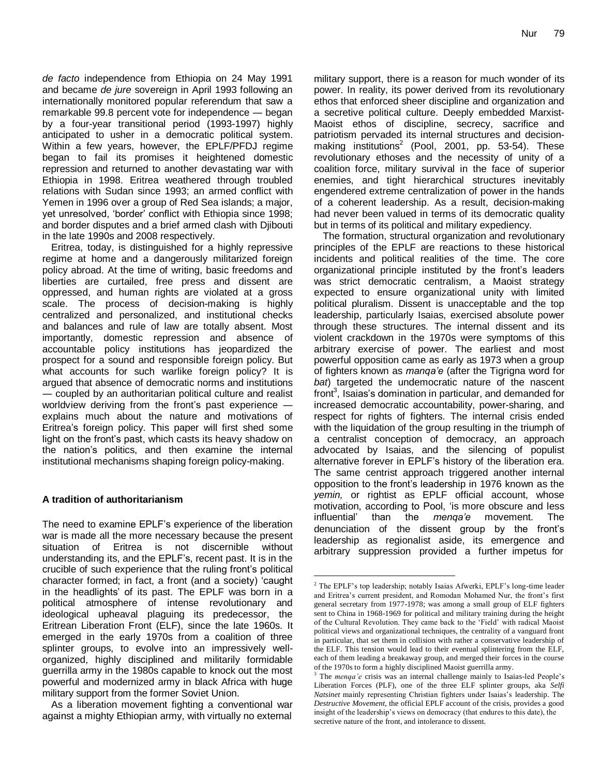*de facto* independence from Ethiopia on 24 May 1991 and became *de jure* sovereign in April 1993 following an internationally monitored popular referendum that saw a remarkable 99.8 percent vote for independence ― began by a four-year transitional period (1993-1997) highly anticipated to usher in a democratic political system. Within a few years, however, the EPLF/PFDJ regime began to fail its promises it heightened domestic repression and returned to another devastating war with Ethiopia in 1998. Eritrea weathered through troubled relations with Sudan since 1993; an armed conflict with Yemen in 1996 over a group of Red Sea islands; a major, yet unresolved, 'border' conflict with Ethiopia since 1998; and border disputes and a brief armed clash with Djibouti in the late 1990s and 2008 respectively.

Eritrea, today, is distinguished for a highly repressive regime at home and a dangerously militarized foreign policy abroad. At the time of writing, basic freedoms and liberties are curtailed, free press and dissent are oppressed, and human rights are violated at a gross scale. The process of decision-making is highly centralized and personalized, and institutional checks and balances and rule of law are totally absent. Most importantly, domestic repression and absence of accountable policy institutions has jeopardized the prospect for a sound and responsible foreign policy. But what accounts for such warlike foreign policy? It is argued that absence of democratic norms and institutions ― coupled by an authoritarian political culture and realist worldview deriving from the front's past experience ― explains much about the nature and motivations of Eritrea's foreign policy. This paper will first shed some light on the front's past, which casts its heavy shadow on the nation's politics, and then examine the internal institutional mechanisms shaping foreign policy-making.

#### **A tradition of authoritarianism**

The need to examine EPLF's experience of the liberation war is made all the more necessary because the present situation of Eritrea is not discernible without understanding its, and the EPLF's, recent past. It is in the crucible of such experience that the ruling front's political character formed; in fact, a front (and a society) 'caught in the headlights' of its past. The EPLF was born in a political atmosphere of intense revolutionary and ideological upheaval plaguing its predecessor, the Eritrean Liberation Front (ELF), since the late 1960s. It emerged in the early 1970s from a coalition of three splinter groups, to evolve into an impressively wellorganized, highly disciplined and militarily formidable guerrilla army in the 1980s capable to knock out the most powerful and modernized army in black Africa with huge military support from the former Soviet Union.

As a liberation movement fighting a conventional war against a mighty Ethiopian army, with virtually no external military support, there is a reason for much wonder of its power. In reality, its power derived from its revolutionary ethos that enforced sheer discipline and organization and a secretive political culture. Deeply embedded Marxist-Maoist ethos of discipline, secrecy, sacrifice and patriotism pervaded its internal structures and decisionmaking institutions<sup>2</sup> (Pool, 2001, pp. 53-54). These revolutionary ethoses and the necessity of unity of a coalition force, military survival in the face of superior enemies, and tight hierarchical structures inevitably engendered extreme centralization of power in the hands of a coherent leadership. As a result, decision-making had never been valued in terms of its democratic quality but in terms of its political and military expediency.

The formation, structural organization and revolutionary principles of the EPLF are reactions to these historical incidents and political realities of the time. The core organizational principle instituted by the front's leaders was strict democratic centralism, a Maoist strategy expected to ensure organizational unity with limited political pluralism. Dissent is unacceptable and the top leadership, particularly Isaias, exercised absolute power through these structures. The internal dissent and its violent crackdown in the 1970s were symptoms of this arbitrary exercise of power. The earliest and most powerful opposition came as early as 1973 when a group of fighters known as *manqa'e* (after the Tigrigna word for *bat*) targeted the undemocratic nature of the nascent front<sup>3</sup>, Isaias's domination in particular, and demanded for increased democratic accountability, power-sharing, and respect for rights of fighters. The internal crisis ended with the liquidation of the group resulting in the triumph of a centralist conception of democracy, an approach advocated by Isaias, and the silencing of populist alternative forever in EPLF's history of the liberation era. The same centrist approach triggered another internal opposition to the front's leadership in 1976 known as the *yemin,* or rightist as EPLF official account, whose motivation, according to Pool, 'is more obscure and less influential' than the *menqa'e* movement. The denunciation of the dissent group by the front's leadership as regionalist aside, its emergence and arbitrary suppression provided a further impetus for

<sup>&</sup>lt;sup>2</sup> The EPLF's top leadership; notably Isaias Afwerki, EPLF's long-time leader and Eritrea's current president, and Romodan Mohamed Nur, the front's first general secretary from 1977-1978; was among a small group of ELF fighters sent to China in 1968-1969 for political and military training during the height of the Cultural Revolution. They came back to the 'Field' with radical Maoist political views and organizational techniques, the centrality of a vanguard front in particular, that set them in collision with rather a conservative leadership of the ELF. This tension would lead to their eventual splintering from the ELF, each of them leading a breakaway group, and merged their forces in the course of the 1970s to form a highly disciplined Maoist guerrilla army.

The *menqa'e* crisis was an internal challenge mainly to Isaias-led People's Liberation Forces (PLF), one of the three ELF splinter groups, aka *Selfi Natsinet* mainly representing Christian fighters under Isaias's leadership. The *Destructive Movement,* the official EPLF account of the crisis, provides a good insight of the leadership's views on democracy (that endures to this date), the secretive nature of the front, and intolerance to dissent.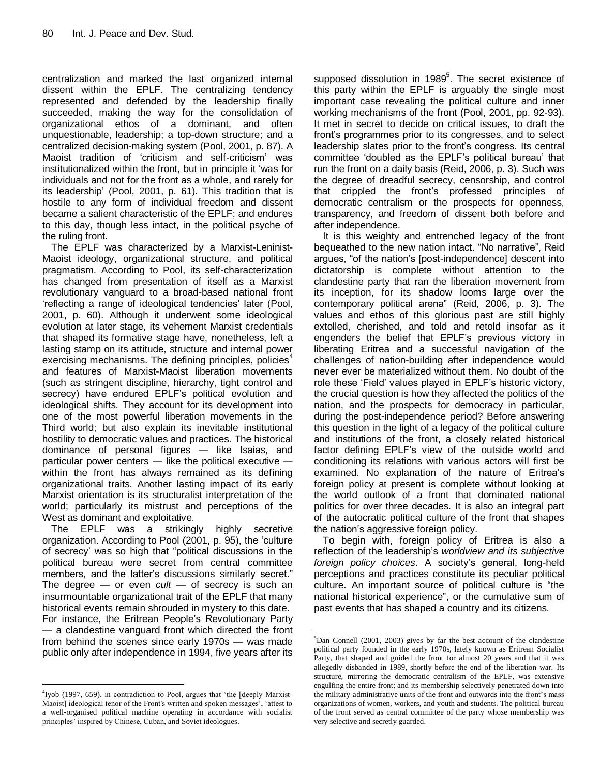centralization and marked the last organized internal dissent within the EPLF. The centralizing tendency represented and defended by the leadership finally succeeded, making the way for the consolidation of organizational ethos of a dominant, and often unquestionable, leadership; a top-down structure; and a centralized decision-making system (Pool, 2001, p. 87). A Maoist tradition of 'criticism and self-criticism' was institutionalized within the front, but in principle it 'was for individuals and not for the front as a whole, and rarely for its leadership' (Pool, 2001, p. 61). This tradition that is hostile to any form of individual freedom and dissent became a salient characteristic of the EPLF; and endures to this day, though less intact, in the political psyche of the ruling front.

The EPLF was characterized by a Marxist-Leninist-Maoist ideology, organizational structure, and political pragmatism. According to Pool, its self-characterization has changed from presentation of itself as a Marxist revolutionary vanguard to a broad-based national front 'reflecting a range of ideological tendencies' later (Pool, 2001, p. 60). Although it underwent some ideological evolution at later stage, its vehement Marxist credentials that shaped its formative stage have, nonetheless, left a lasting stamp on its attitude, structure and internal power exercising mechanisms. The defining principles, policies $4$ and features of Marxist-Maoist liberation movements (such as stringent discipline, hierarchy, tight control and secrecy) have endured EPLF's political evolution and ideological shifts. They account for its development into one of the most powerful liberation movements in the Third world; but also explain its inevitable institutional hostility to democratic values and practices. The historical dominance of personal figures ― like Isaias, and particular power centers ― like the political executive ― within the front has always remained as its defining organizational traits. Another lasting impact of its early Marxist orientation is its structuralist interpretation of the world; particularly its mistrust and perceptions of the West as dominant and exploitative.

The EPLF was a strikingly highly secretive organization. According to Pool (2001, p. 95), the 'culture of secrecy' was so high that "political discussions in the political bureau were secret from central committee members, and the latter's discussions similarly secret." The degree — or even *cult* — of secrecy is such an insurmountable organizational trait of the EPLF that many historical events remain shrouded in mystery to this date. For instance, the Eritrean People's Revolutionary Party — a clandestine vanguard front which directed the front from behind the scenes since early 1970s — was made public only after independence in 1994, five years after its

 $\overline{a}$ 

supposed dissolution in 1989<sup>5</sup>. The secret existence of this party within the EPLF is arguably the single most important case revealing the political culture and inner working mechanisms of the front (Pool, 2001, pp. 92-93). It met in secret to decide on critical issues, to draft the front's programmes prior to its congresses, and to select leadership slates prior to the front's congress. Its central committee 'doubled as the EPLF's political bureau' that run the front on a daily basis (Reid, 2006, p. 3). Such was the degree of dreadful secrecy, censorship, and control that crippled the front's professed principles of democratic centralism or the prospects for openness, transparency, and freedom of dissent both before and after independence.

It is this weighty and entrenched legacy of the front bequeathed to the new nation intact. "No narrative", Reid argues, "of the nation's [post-independence] descent into dictatorship is complete without attention to the clandestine party that ran the liberation movement from its inception, for its shadow looms large over the contemporary political arena" (Reid, 2006, p. 3). The values and ethos of this glorious past are still highly extolled, cherished, and told and retold insofar as it engenders the belief that EPLF's previous victory in liberating Eritrea and a successful navigation of the challenges of nation-building after independence would never ever be materialized without them. No doubt of the role these 'Field' values played in EPLF's historic victory, the crucial question is how they affected the politics of the nation, and the prospects for democracy in particular, during the post-independence period? Before answering this question in the light of a legacy of the political culture and institutions of the front, a closely related historical factor defining EPLF's view of the outside world and conditioning its relations with various actors will first be examined. No explanation of the nature of Eritrea's foreign policy at present is complete without looking at the world outlook of a front that dominated national politics for over three decades. It is also an integral part of the autocratic political culture of the front that shapes the nation's aggressive foreign policy.

To begin with, foreign policy of Eritrea is also a reflection of the leadership's *worldview and its subjective foreign policy choices*. A society's general, long-held perceptions and practices constitute its peculiar political culture. An important source of political culture is "the national historical experience", or the cumulative sum of past events that has shaped a country and its citizens.

<sup>&</sup>lt;sup>4</sup>Iyob (1997, 659), in contradiction to Pool, argues that 'the [deeply Marxist-Maoist] ideological tenor of the Front's written and spoken messages', 'attest to a well-organised political machine operating in accordance with socialist principles' inspired by Chinese, Cuban, and Soviet ideologues.

 $5$ Dan Connell (2001, 2003) gives by far the best account of the clandestine political party founded in the early 1970s, lately known as Eritrean Socialist Party, that shaped and guided the front for almost 20 years and that it was allegedly disbanded in 1989, shortly before the end of the liberation war. Its structure, mirroring the democratic centralism of the EPLF, was extensive engulfing the entire front; and its membership selectively penetrated down into the military-administrative units of the front and outwards into the front's mass organizations of women, workers, and youth and students. The political bureau of the front served as central committee of the party whose membership was very selective and secretly guarded.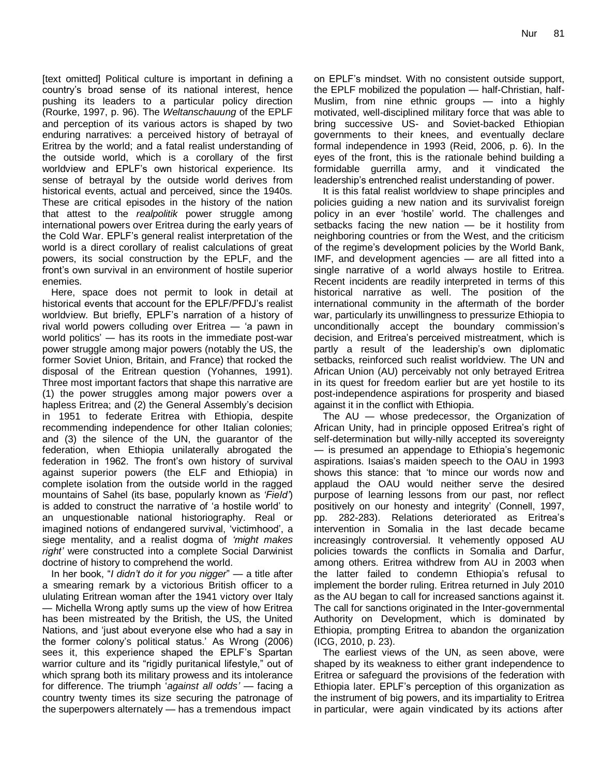[text omitted] Political culture is important in defining a country's broad sense of its national interest, hence pushing its leaders to a particular policy direction (Rourke, 1997, p. 96). The *Weltanschauung* of the EPLF and perception of its various actors is shaped by two enduring narratives: a perceived history of betrayal of Eritrea by the world; and a fatal realist understanding of the outside world, which is a corollary of the first worldview and EPLF's own historical experience. Its sense of betrayal by the outside world derives from historical events, actual and perceived, since the 1940s. These are critical episodes in the history of the nation that attest to the *realpolitik* power struggle among international powers over Eritrea during the early years of the Cold War. EPLF's general realist interpretation of the world is a direct corollary of realist calculations of great powers, its social construction by the EPLF, and the front's own survival in an environment of hostile superior enemies.

Here, space does not permit to look in detail at historical events that account for the EPLF/PFDJ's realist worldview. But briefly, EPLF's narration of a history of rival world powers colluding over Eritrea ― 'a pawn in world politics' ― has its roots in the immediate post-war power struggle among major powers (notably the US, the former Soviet Union, Britain, and France) that rocked the disposal of the Eritrean question (Yohannes, 1991). Three most important factors that shape this narrative are (1) the power struggles among major powers over a hapless Eritrea; and (2) the General Assembly's decision in 1951 to federate Eritrea with Ethiopia, despite recommending independence for other Italian colonies; and (3) the silence of the UN, the guarantor of the federation, when Ethiopia unilaterally abrogated the federation in 1962. The front's own history of survival against superior powers (the ELF and Ethiopia) in complete isolation from the outside world in the ragged mountains of Sahel (its base, popularly known as *'Field'*) is added to construct the narrative of 'a hostile world' to an unquestionable national historiography. Real or imagined notions of endangered survival, 'victimhood', a siege mentality, and a realist dogma of *'might makes right'* were constructed into a complete Social Darwinist doctrine of history to comprehend the world.

In her book, "*I didn't do it for you nigger*" — a title after a smearing remark by a victorious British officer to a ululating Eritrean woman after the 1941 victory over Italy — Michella Wrong aptly sums up the view of how Eritrea has been mistreated by the British, the US, the United Nations, and 'just about everyone else who had a say in the former colony's political status.' As Wrong (2006) sees it, this experience shaped the EPLF's Spartan warrior culture and its "rigidly puritanical lifestyle," out of which sprang both its military prowess and its intolerance for difference. The triumph '*against all odds'* — facing a country twenty times its size securing the patronage of the superpowers alternately — has a tremendous impact

on EPLF's mindset. With no consistent outside support, the EPLF mobilized the population — half-Christian, half-Muslim, from nine ethnic groups — into a highly motivated, well-disciplined military force that was able to bring successive US- and Soviet-backed Ethiopian governments to their knees, and eventually declare formal independence in 1993 (Reid, 2006, p. 6). In the eyes of the front, this is the rationale behind building a formidable guerrilla army, and it vindicated the leadership's entrenched realist understanding of power.

It is this fatal realist worldview to shape principles and policies guiding a new nation and its survivalist foreign policy in an ever 'hostile' world. The challenges and setbacks facing the new nation — be it hostility from neighboring countries or from the West, and the criticism of the regime's development policies by the World Bank, IMF, and development agencies — are all fitted into a single narrative of a world always hostile to Eritrea. Recent incidents are readily interpreted in terms of this historical narrative as well. The position of the international community in the aftermath of the border war, particularly its unwillingness to pressurize Ethiopia to unconditionally accept the boundary commission's decision, and Eritrea's perceived mistreatment, which is partly a result of the leadership's own diplomatic setbacks, reinforced such realist worldview. The UN and African Union (AU) perceivably not only betrayed Eritrea in its quest for freedom earlier but are yet hostile to its post-independence aspirations for prosperity and biased against it in the conflict with Ethiopia.

The AU ― whose predecessor, the Organization of African Unity, had in principle opposed Eritrea's right of self-determination but willy-nilly accepted its sovereignty ― is presumed an appendage to Ethiopia's hegemonic aspirations. Isaias's maiden speech to the OAU in 1993 shows this stance: that 'to mince our words now and applaud the OAU would neither serve the desired purpose of learning lessons from our past, nor reflect positively on our honesty and integrity' (Connell, 1997, pp. 282-283). Relations deteriorated as Eritrea's intervention in Somalia in the last decade became increasingly controversial. It vehemently opposed AU policies towards the conflicts in Somalia and Darfur, among others. Eritrea withdrew from AU in 2003 when the latter failed to condemn Ethiopia's refusal to implement the border ruling. Eritrea returned in July 2010 as the AU began to call for increased sanctions against it. The call for sanctions originated in the Inter-governmental Authority on Development, which is dominated by Ethiopia, prompting Eritrea to abandon the organization (ICG, 2010, p. 23).

The earliest views of the UN, as seen above, were shaped by its weakness to either grant independence to Eritrea or safeguard the provisions of the federation with Ethiopia later. EPLF's perception of this organization as the instrument of big powers, and its impartiality to Eritrea in particular, were again vindicated by its actions after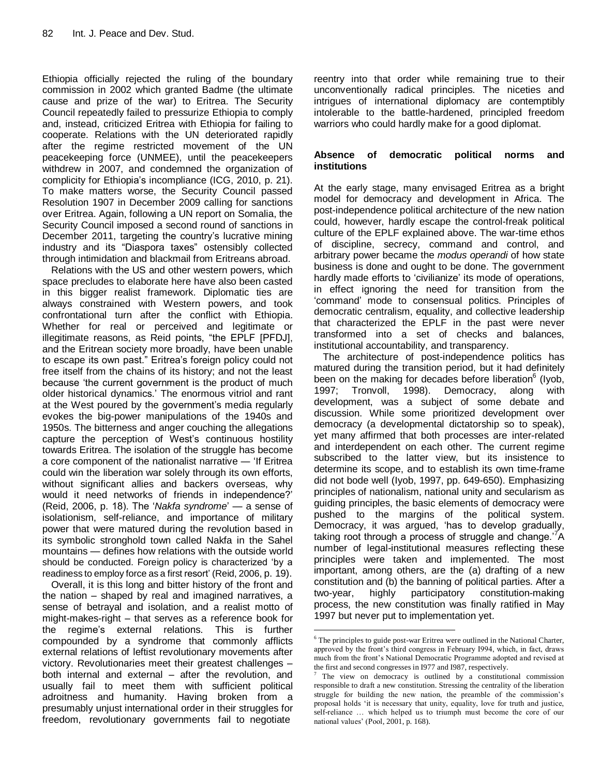Ethiopia officially rejected the ruling of the boundary commission in 2002 which granted Badme (the ultimate cause and prize of the war) to Eritrea. The Security Council repeatedly failed to pressurize Ethiopia to comply and, instead, criticized Eritrea with Ethiopia for failing to cooperate. Relations with the UN deteriorated rapidly after the regime restricted movement of the UN peacekeeping force (UNMEE), until the peacekeepers withdrew in 2007, and condemned the organization of complicity for Ethiopia's incompliance (ICG, 2010, p. 21). To make matters worse, the Security Council passed Resolution 1907 in December 2009 calling for sanctions over Eritrea. Again, following a UN report on Somalia, the Security Council imposed a second round of sanctions in December 2011, targeting the country's lucrative mining industry and its "Diaspora taxes" ostensibly collected through intimidation and blackmail from Eritreans abroad.

Relations with the US and other western powers, which space precludes to elaborate here have also been casted in this bigger realist framework. Diplomatic ties are always constrained with Western powers, and took confrontational turn after the conflict with Ethiopia. Whether for real or perceived and legitimate or illegitimate reasons, as Reid points, "the EPLF [PFDJ], and the Eritrean society more broadly, have been unable to escape its own past." Eritrea's foreign policy could not free itself from the chains of its history; and not the least because 'the current government is the product of much older historical dynamics.' The enormous vitriol and rant at the West poured by the government's media regularly evokes the big-power manipulations of the 1940s and 1950s. The bitterness and anger couching the allegations capture the perception of West's continuous hostility towards Eritrea. The isolation of the struggle has become a core component of the nationalist narrative ― 'If Eritrea could win the liberation war solely through its own efforts, without significant allies and backers overseas, why would it need networks of friends in independence?' (Reid, 2006, p. 18). The '*Nakfa syndrome*' — a sense of isolationism, self-reliance, and importance of military power that were matured during the revolution based in its symbolic stronghold town called Nakfa in the Sahel mountains — defines how relations with the outside world should be conducted. Foreign policy is characterized 'by a readiness to employ force as a first resort' (Reid, 2006, p. 19).

Overall, it is this long and bitter history of the front and the nation – shaped by real and imagined narratives, a sense of betrayal and isolation, and a realist motto of might-makes-right – that serves as a reference book for the regime's external relations. This is further compounded by a syndrome that commonly afflicts external relations of leftist revolutionary movements after victory. Revolutionaries meet their greatest challenges – both internal and external – after the revolution, and usually fail to meet them with sufficient political adroitness and humanity. Having broken from a presumably unjust international order in their struggles for freedom, revolutionary governments fail to negotiate

reentry into that order while remaining true to their unconventionally radical principles. The niceties and intrigues of international diplomacy are contemptibly intolerable to the battle-hardened, principled freedom warriors who could hardly make for a good diplomat.

#### **Absence of democratic political norms and institutions**

At the early stage, many envisaged Eritrea as a bright model for democracy and development in Africa. The post-independence political architecture of the new nation could, however, hardly escape the control-freak political culture of the EPLF explained above. The war-time ethos of discipline, secrecy, command and control, and arbitrary power became the *modus operandi* of how state business is done and ought to be done. The government hardly made efforts to 'civilianize' its mode of operations, in effect ignoring the need for transition from the 'command' mode to consensual politics. Principles of democratic centralism, equality, and collective leadership that characterized the EPLF in the past were never transformed into a set of checks and balances, institutional accountability, and transparency.

The architecture of post-independence politics has matured during the transition period, but it had definitely been on the making for decades before liberation<sup>6</sup> (lyob, 1997; Tronvoll, 1998). Democracy, along with development, was a subject of some debate and discussion. While some prioritized development over democracy (a developmental dictatorship so to speak), yet many affirmed that both processes are inter-related and interdependent on each other. The current regime subscribed to the latter view, but its insistence to determine its scope, and to establish its own time-frame did not bode well (Iyob, 1997, pp. 649-650). Emphasizing principles of nationalism, national unity and secularism as guiding principles, the basic elements of democracy were pushed to the margins of the political system. Democracy, it was argued, 'has to develop gradually, taking root through a process of struggle and change.<sup>1</sup>A number of legal-institutional measures reflecting these principles were taken and implemented. The most important, among others, are the (a) drafting of a new constitution and (b) the banning of political parties. After a two-year, highly participatory constitution-making process, the new constitution was finally ratified in May 1997 but never put to implementation yet.

<sup>&</sup>lt;sup>6</sup> The principles to guide post-war Eritrea were outlined in the National Charter, approved by the front's third congress in February I994, which, in fact, draws much from the front's National Democratic Programme adopted and revised at the first and second congresses in I977 and I987, respectively.

The view on democracy is outlined by a constitutional commission responsible to draft a new constitution. Stressing the centrality of the liberation struggle for building the new nation, the preamble of the commission's proposal holds 'it is necessary that unity, equality, love for truth and justice, self-reliance … which helped us to triumph must become the core of our national values' (Pool, 2001, p. 168).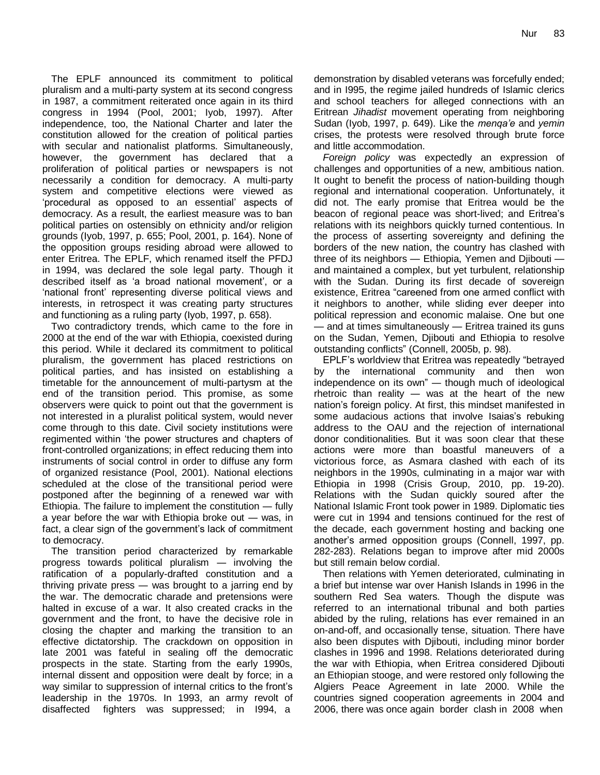The EPLF announced its commitment to political pluralism and a multi-party system at its second congress in 1987, a commitment reiterated once again in its third congress in 1994 (Pool, 2001; Iyob, 1997). After independence, too, the National Charter and later the constitution allowed for the creation of political parties with secular and nationalist platforms. Simultaneously, however, the government has declared that a proliferation of political parties or newspapers is not necessarily a condition for democracy. A multi-party system and competitive elections were viewed as 'procedural as opposed to an essential' aspects of democracy. As a result, the earliest measure was to ban political parties on ostensibly on ethnicity and/or religion grounds (Iyob, 1997, p. 655; Pool, 2001, p. 164). None of the opposition groups residing abroad were allowed to enter Eritrea. The EPLF, which renamed itself the PFDJ in 1994, was declared the sole legal party. Though it described itself as 'a broad national movement', or a 'national front' representing diverse political views and interests, in retrospect it was creating party structures and functioning as a ruling party (Iyob, 1997, p. 658).

Two contradictory trends, which came to the fore in 2000 at the end of the war with Ethiopia, coexisted during this period. While it declared its commitment to political pluralism, the government has placed restrictions on political parties, and has insisted on establishing a timetable for the announcement of multi-partysm at the end of the transition period. This promise, as some observers were quick to point out that the government is not interested in a pluralist political system, would never come through to this date. Civil society institutions were regimented within 'the power structures and chapters of front-controlled organizations; in effect reducing them into instruments of social control in order to diffuse any form of organized resistance (Pool, 2001). National elections scheduled at the close of the transitional period were postponed after the beginning of a renewed war with Ethiopia. The failure to implement the constitution ― fully a year before the war with Ethiopia broke out ― was, in fact, a clear sign of the government's lack of commitment to democracy.

The transition period characterized by remarkable progress towards political pluralism ― involving the ratification of a popularly-drafted constitution and a thriving private press ― was brought to a jarring end by the war. The democratic charade and pretensions were halted in excuse of a war. It also created cracks in the government and the front, to have the decisive role in closing the chapter and marking the transition to an effective dictatorship. The crackdown on opposition in late 2001 was fateful in sealing off the democratic prospects in the state. Starting from the early 1990s, internal dissent and opposition were dealt by force; in a way similar to suppression of internal critics to the front's leadership in the 1970s. In 1993, an army revolt of disaffected fighters was suppressed; in I994, a

demonstration by disabled veterans was forcefully ended; and in I995, the regime jailed hundreds of Islamic clerics and school teachers for alleged connections with an Eritrean *Jihadist* movement operating from neighboring Sudan (Iyob, 1997, p. 649). Like the *menqa'e* and *yemin* crises, the protests were resolved through brute force and little accommodation.

*Foreign policy* was expectedly an expression of challenges and opportunities of a new, ambitious nation. It ought to benefit the process of nation-building though regional and international cooperation. Unfortunately, it did not. The early promise that Eritrea would be the beacon of regional peace was short-lived; and Eritrea's relations with its neighbors quickly turned contentious. In the process of asserting sovereignty and defining the borders of the new nation, the country has clashed with three of its neighbors — Ethiopia, Yemen and Djibouti and maintained a complex, but yet turbulent, relationship with the Sudan. During its first decade of sovereign existence, Eritrea "careened from one armed conflict with it neighbors to another, while sliding ever deeper into political repression and economic malaise. One but one — and at times simultaneously — Eritrea trained its guns on the Sudan, Yemen, Djibouti and Ethiopia to resolve outstanding conflicts" (Connell, 2005b, p. 98).

EPLF's worldview that Eritrea was repeatedly "betrayed by the international community and then won independence on its own" ― though much of ideological rhetroic than reality ― was at the heart of the new nation's foreign policy. At first, this mindset manifested in some audacious actions that involve Isaias's rebuking address to the OAU and the rejection of international donor conditionalities. But it was soon clear that these actions were more than boastful maneuvers of a victorious force, as Asmara clashed with each of its neighbors in the 1990s, culminating in a major war with Ethiopia in 1998 (Crisis Group, 2010, pp. 19-20). Relations with the Sudan quickly soured after the National Islamic Front took power in 1989. Diplomatic ties were cut in 1994 and tensions continued for the rest of the decade, each government hosting and backing one another's armed opposition groups (Connell, 1997, pp. 282-283). Relations began to improve after mid 2000s but still remain below cordial.

Then relations with Yemen deteriorated, culminating in a brief but intense war over Hanish Islands in 1996 in the southern Red Sea waters. Though the dispute was referred to an international tribunal and both parties abided by the ruling, relations has ever remained in an on-and-off, and occasionally tense, situation. There have also been disputes with Djibouti, including minor border clashes in 1996 and 1998. Relations deteriorated during the war with Ethiopia, when Eritrea considered Djibouti an Ethiopian stooge, and were restored only following the Algiers Peace Agreement in late 2000. While the countries signed cooperation agreements in 2004 and 2006, there was once again border clash in 2008 when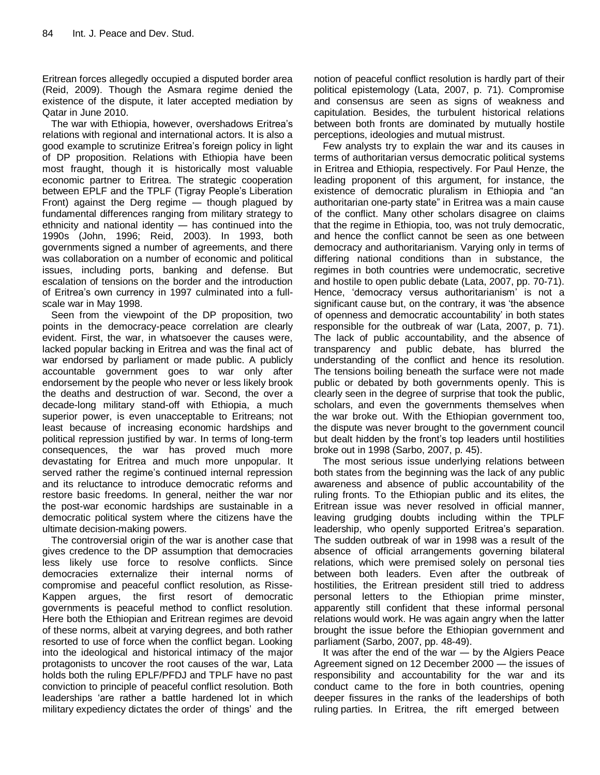Eritrean forces allegedly occupied a disputed border area (Reid, 2009). Though the Asmara regime denied the existence of the dispute, it later accepted mediation by Qatar in June 2010.

The war with Ethiopia, however, overshadows Eritrea's relations with regional and international actors. It is also a good example to scrutinize Eritrea's foreign policy in light of DP proposition. Relations with Ethiopia have been most fraught, though it is historically most valuable economic partner to Eritrea. The strategic cooperation between EPLF and the TPLF (Tigray People's Liberation Front) against the Derg regime ― though plagued by fundamental differences ranging from military strategy to ethnicity and national identity ― has continued into the 1990s (John, 1996; Reid, 2003). In 1993, both governments signed a number of agreements, and there was collaboration on a number of economic and political issues, including ports, banking and defense. But escalation of tensions on the border and the introduction of Eritrea's own currency in 1997 culminated into a fullscale war in May 1998.

Seen from the viewpoint of the DP proposition, two points in the democracy-peace correlation are clearly evident. First, the war, in whatsoever the causes were, lacked popular backing in Eritrea and was the final act of war endorsed by parliament or made public. A publicly accountable government goes to war only after endorsement by the people who never or less likely brook the deaths and destruction of war. Second, the over a decade-long military stand-off with Ethiopia, a much superior power, is even unacceptable to Eritreans; not least because of increasing economic hardships and political repression justified by war. In terms of long-term consequences, the war has proved much more devastating for Eritrea and much more unpopular. It served rather the regime's continued internal repression and its reluctance to introduce democratic reforms and restore basic freedoms. In general, neither the war nor the post-war economic hardships are sustainable in a democratic political system where the citizens have the ultimate decision-making powers.

The controversial origin of the war is another case that gives credence to the DP assumption that democracies less likely use force to resolve conflicts. Since democracies externalize their internal norms of compromise and peaceful conflict resolution, as Risse-Kappen argues, the first resort of democratic governments is peaceful method to conflict resolution. Here both the Ethiopian and Eritrean regimes are devoid of these norms, albeit at varying degrees, and both rather resorted to use of force when the conflict began. Looking into the ideological and historical intimacy of the major protagonists to uncover the root causes of the war, Lata holds both the ruling EPLF/PFDJ and TPLF have no past conviction to principle of peaceful conflict resolution. Both leaderships 'are rather a battle hardened lot in which military expediency dictates the order of things' and the

notion of peaceful conflict resolution is hardly part of their political epistemology (Lata, 2007, p. 71). Compromise and consensus are seen as signs of weakness and capitulation. Besides, the turbulent historical relations between both fronts are dominated by mutually hostile perceptions, ideologies and mutual mistrust.

Few analysts try to explain the war and its causes in terms of authoritarian versus democratic political systems in Eritrea and Ethiopia, respectively. For Paul Henze, the leading proponent of this argument, for instance, the existence of democratic pluralism in Ethiopia and "an authoritarian one-party state" in Eritrea was a main cause of the conflict. Many other scholars disagree on claims that the regime in Ethiopia, too, was not truly democratic, and hence the conflict cannot be seen as one between democracy and authoritarianism. Varying only in terms of differing national conditions than in substance, the regimes in both countries were undemocratic, secretive and hostile to open public debate (Lata, 2007, pp. 70-71). Hence, 'democracy versus authoritarianism' is not a significant cause but, on the contrary, it was 'the absence of openness and democratic accountability' in both states responsible for the outbreak of war (Lata, 2007, p. 71). The lack of public accountability, and the absence of transparency and public debate, has blurred the understanding of the conflict and hence its resolution. The tensions boiling beneath the surface were not made public or debated by both governments openly. This is clearly seen in the degree of surprise that took the public, scholars, and even the governments themselves when the war broke out. With the Ethiopian government too, the dispute was never brought to the government council but dealt hidden by the front's top leaders until hostilities broke out in 1998 (Sarbo, 2007, p. 45).

The most serious issue underlying relations between both states from the beginning was the lack of any public awareness and absence of public accountability of the ruling fronts. To the Ethiopian public and its elites, the Eritrean issue was never resolved in official manner, leaving grudging doubts including within the TPLF leadership, who openly supported Eritrea's separation. The sudden outbreak of war in 1998 was a result of the absence of official arrangements governing bilateral relations, which were premised solely on personal ties between both leaders. Even after the outbreak of hostilities, the Eritrean president still tried to address personal letters to the Ethiopian prime minster, apparently still confident that these informal personal relations would work. He was again angry when the latter brought the issue before the Ethiopian government and parliament (Sarbo, 2007, pp. 48-49).

It was after the end of the war ― by the Algiers Peace Agreement signed on 12 December 2000 ― the issues of responsibility and accountability for the war and its conduct came to the fore in both countries, opening deeper fissures in the ranks of the leaderships of both ruling parties. In Eritrea, the rift emerged between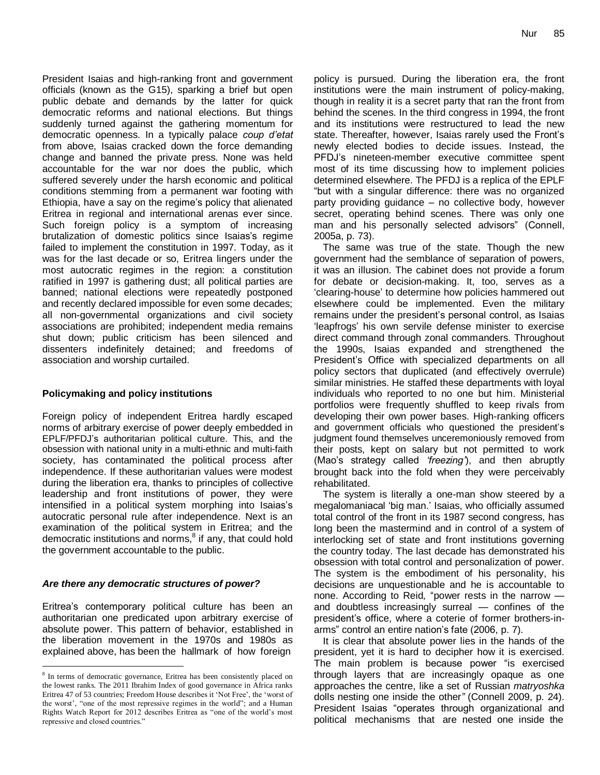President Isaias and high-ranking front and government officials (known as the G15), sparking a brief but open public debate and demands by the latter for quick democratic reforms and national elections. But things suddenly turned against the gathering momentum for democratic openness. In a typically palace *coup d'etat*  from above, Isaias cracked down the force demanding change and banned the private press. None was held accountable for the war nor does the public, which suffered severely under the harsh economic and political conditions stemming from a permanent war footing with Ethiopia, have a say on the regime's policy that alienated Eritrea in regional and international arenas ever since. Such foreign policy is a symptom of increasing brutalization of domestic politics since Isaias's regime failed to implement the constitution in 1997. Today, as it was for the last decade or so, Eritrea lingers under the most autocratic regimes in the region: a constitution ratified in 1997 is gathering dust; all political parties are banned; national elections were repeatedly postponed and recently declared impossible for even some decades; all non-governmental organizations and civil society associations are prohibited; independent media remains shut down; public criticism has been silenced and dissenters indefinitely detained; and freedoms of association and worship curtailed.

#### **Policymaking and policy institutions**

Foreign policy of independent Eritrea hardly escaped norms of arbitrary exercise of power deeply embedded in EPLF/PFDJ's authoritarian political culture. This, and the obsession with national unity in a multi-ethnic and multi-faith society, has contaminated the political process after independence. If these authoritarian values were modest during the liberation era, thanks to principles of collective leadership and front institutions of power, they were intensified in a political system morphing into Isaias's autocratic personal rule after independence. Next is an examination of the political system in Eritrea; and the democratic institutions and norms, 8 if any, that could hold the government accountable to the public.

#### *Are there any democratic structures of power?*

 $\overline{a}$ 

Eritrea's contemporary political culture has been an authoritarian one predicated upon arbitrary exercise of absolute power. This pattern of behavior, established in the liberation movement in the 1970s and 1980s as explained above, has been the hallmark of how foreign

policy is pursued. During the liberation era, the front institutions were the main instrument of policy-making, though in reality it is a secret party that ran the front from behind the scenes. In the third congress in 1994, the front and its institutions were restructured to lead the new state. Thereafter, however, Isaias rarely used the Front's newly elected bodies to decide issues. Instead, the PFDJ's nineteen-member executive committee spent most of its time discussing how to implement policies determined elsewhere. The PFDJ is a replica of the EPLF "but with a singular difference: there was no organized party providing guidance – no collective body, however secret, operating behind scenes. There was only one man and his personally selected advisors" (Connell, 2005a, p. 73).

The same was true of the state. Though the new government had the semblance of separation of powers, it was an illusion. The cabinet does not provide a forum for debate or decision-making. It, too, serves as a 'clearing-house' to determine how policies hammered out elsewhere could be implemented. Even the military remains under the president's personal control, as Isaias 'leapfrogs' his own servile defense minister to exercise direct command through zonal commanders. Throughout the 1990s, Isaias expanded and strengthened the President's Office with specialized departments on all policy sectors that duplicated (and effectively overrule) similar ministries. He staffed these departments with loyal individuals who reported to no one but him. Ministerial portfolios were frequently shuffled to keep rivals from developing their own power bases. High-ranking officers and government officials who questioned the president's judgment found themselves unceremoniously removed from their posts, kept on salary but not permitted to work (Mao's strategy called *'freezing'*), and then abruptly brought back into the fold when they were perceivably rehabilitated.

The system is literally a one-man show steered by a megalomaniacal 'big man.' Isaias, who officially assumed total control of the front in its 1987 second congress, has long been the mastermind and in control of a system of interlocking set of state and front institutions governing the country today. The last decade has demonstrated his obsession with total control and personalization of power. The system is the embodiment of his personality, his decisions are unquestionable and he is accountable to none. According to Reid*,* "power rests in the narrow and doubtless increasingly surreal — confines of the president's office, where a coterie of former brothers-inarms" control an entire nation's fate (2006, p. 7).

It is clear that absolute power lies in the hands of the president, yet it is hard to decipher how it is exercised. The main problem is because power "is exercised through layers that are increasingly opaque as one approaches the centre, like a set of Russian *matryoshka* dolls nesting one inside the other*"* (Connell 2009, p. 24). President Isaias "operates through organizational and political mechanisms that are nested one inside the

<sup>&</sup>lt;sup>8</sup> In terms of democratic governance, Eritrea has been consistently placed on the lowest ranks. The 2011 Ibrahim Index of good governance in Africa ranks Eritrea 47 of 53 countries; Freedom House describes it 'Not Free', the 'worst of the worst', "one of the most repressive regimes in the world"; and a Human Rights Watch Report for 2012 describes Eritrea as "one of the world's most repressive and closed countries."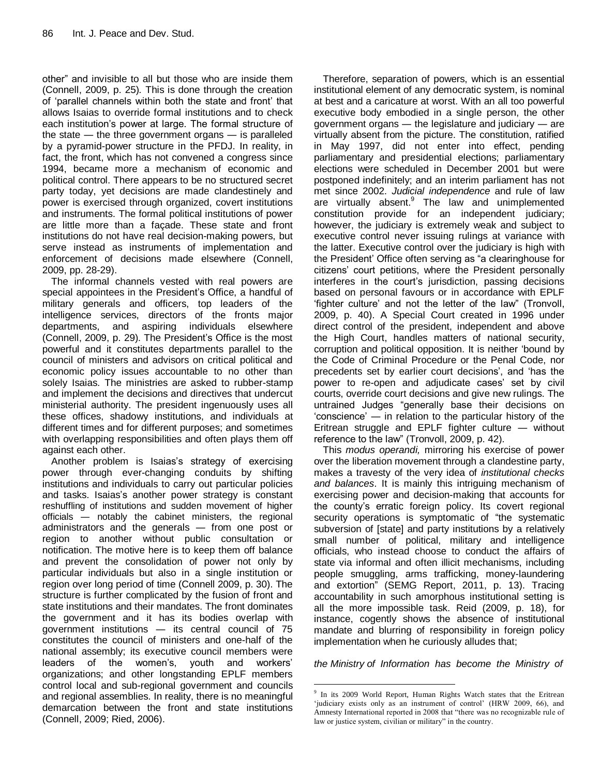other" and invisible to all but those who are inside them (Connell, 2009, p. 25)*.* This is done through the creation of 'parallel channels within both the state and front' that allows Isaias to override formal institutions and to check each institution's power at large. The formal structure of the state ― the three government organs ― is paralleled by a pyramid-power structure in the PFDJ. In reality, in fact, the front, which has not convened a congress since 1994, became more a mechanism of economic and political control. There appears to be no structured secret party today, yet decisions are made clandestinely and power is exercised through organized, covert institutions and instruments. The formal political institutions of power are little more than a façade. These state and front institutions do not have real decision-making powers, but serve instead as instruments of implementation and enforcement of decisions made elsewhere (Connell, 2009, pp. 28-29).

The informal channels vested with real powers are special appointees in the President's Office, a handful of military generals and officers, top leaders of the intelligence services, directors of the fronts major departments, and aspiring individuals elsewhere (Connell, 2009, p. 29). The President's Office is the most powerful and it constitutes departments parallel to the council of ministers and advisors on critical political and economic policy issues accountable to no other than solely Isaias. The ministries are asked to rubber-stamp and implement the decisions and directives that undercut ministerial authority. The president ingenuously uses all these offices, shadowy institutions, and individuals at different times and for different purposes; and sometimes with overlapping responsibilities and often plays them off against each other.

Another problem is Isaias's strategy of exercising power through ever-changing conduits by shifting institutions and individuals to carry out particular policies and tasks. Isaias's another power strategy is constant reshuffling of institutions and sudden movement of higher officials ― notably the cabinet ministers, the regional administrators and the generals ― from one post or region to another without public consultation or notification. The motive here is to keep them off balance and prevent the consolidation of power not only by particular individuals but also in a single institution or region over long period of time (Connell 2009, p. 30). The structure is further complicated by the fusion of front and state institutions and their mandates. The front dominates the government and it has its bodies overlap with government institutions ― its central council of 75 constitutes the council of ministers and one-half of the national assembly; its executive council members were leaders of the women's, youth and workers' organizations; and other longstanding EPLF members control local and sub-regional government and councils and regional assemblies. In reality, there is no meaningful demarcation between the front and state institutions (Connell, 2009; Ried, 2006).

Therefore, separation of powers, which is an essential institutional element of any democratic system, is nominal at best and a caricature at worst. With an all too powerful executive body embodied in a single person, the other government organs ― the legislature and judiciary ― are virtually absent from the picture. The constitution, ratified in May 1997, did not enter into effect, pending parliamentary and presidential elections; parliamentary elections were scheduled in December 2001 but were postponed indefinitely; and an interim parliament has not met since 2002. *Judicial independence* and rule of law are virtually absent.<sup>9</sup> The law and unimplemented constitution provide for an independent judiciary; however, the judiciary is extremely weak and subject to executive control never issuing rulings at variance with the latter. Executive control over the judiciary is high with the President' Office often serving as "a clearinghouse for citizens' court petitions, where the President personally interferes in the court's jurisdiction, passing decisions based on personal favours or in accordance with EPLF 'fighter culture' and not the letter of the law" (Tronvoll, 2009, p. 40). A Special Court created in 1996 under direct control of the president, independent and above the High Court, handles matters of national security, corruption and political opposition. It is neither 'bound by the Code of Criminal Procedure or the Penal Code, nor precedents set by earlier court decisions', and 'has the power to re-open and adjudicate cases' set by civil courts, override court decisions and give new rulings. The untrained Judges "generally base their decisions on 'conscience' ― in relation to the particular history of the Eritrean struggle and EPLF fighter culture ― without reference to the law" (Tronvoll, 2009, p. 42).

This *modus operandi,* mirroring his exercise of power over the liberation movement through a clandestine party, makes a travesty of the very idea of *institutional checks and balances*. It is mainly this intriguing mechanism of exercising power and decision-making that accounts for the county's erratic foreign policy. Its covert regional security operations is symptomatic of "the systematic subversion of [state] and party institutions by a relatively small number of political, military and intelligence officials, who instead choose to conduct the affairs of state via informal and often illicit mechanisms, including people smuggling, arms trafficking, money-laundering and extortion" (SEMG Report, 2011, p. 13). Tracing accountability in such amorphous institutional setting is all the more impossible task. Reid (2009, p. 18), for instance, cogently shows the absence of institutional mandate and blurring of responsibility in foreign policy implementation when he curiously alludes that;

*the Ministry of Information has become the Ministry of*

<sup>&</sup>lt;sup>9</sup> In its 2009 World Report, Human Rights Watch states that the Eritrean 'judiciary exists only as an instrument of control' (HRW 2009, 66), and Amnesty International reported in 2008 that "there was no recognizable rule of law or justice system, civilian or military" in the country.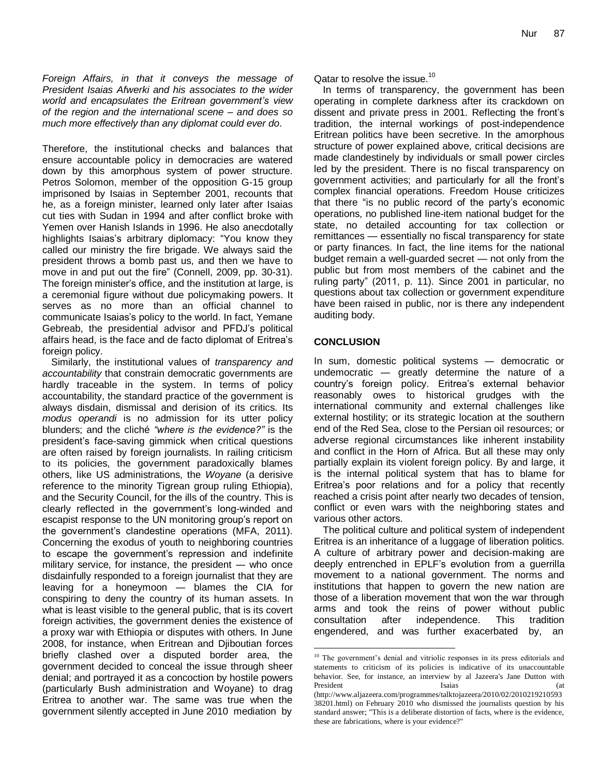*Foreign Affairs, in that it conveys the message of President Isaias Afwerki and his associates to the wider world and encapsulates the Eritrean government's view of the region and the international scene – and does so much more effectively than any diplomat could ever do*.

Therefore, the institutional checks and balances that ensure accountable policy in democracies are watered down by this amorphous system of power structure. Petros Solomon, member of the opposition G-15 group imprisoned by Isaias in September 2001, recounts that he, as a foreign minister, learned only later after Isaias cut ties with Sudan in 1994 and after conflict broke with Yemen over Hanish Islands in 1996. He also anecdotally highlights Isaias's arbitrary diplomacy: "You know they called our ministry the fire brigade. We always said the president throws a bomb past us, and then we have to move in and put out the fire" (Connell, 2009, pp. 30-31). The foreign minister's office, and the institution at large, is a ceremonial figure without due policymaking powers. It serves as no more than an official channel to communicate Isaias's policy to the world. In fact, Yemane Gebreab, the presidential advisor and PFDJ's political affairs head, is the face and de facto diplomat of Eritrea's foreign policy.

Similarly, the institutional values of *transparency and accountability* that constrain democratic governments are hardly traceable in the system. In terms of policy accountability, the standard practice of the government is always disdain, dismissal and derision of its critics. Its *modus operandi* is no admission for its utter policy blunders; and the cliché *"where is the evidence?"* is the president's face-saving gimmick when critical questions are often raised by foreign journalists. In railing criticism to its policies, the government paradoxically blames others, like US administrations, the *Woyane* (a derisive reference to the minority Tigrean group ruling Ethiopia), and the Security Council, for the ills of the country. This is clearly reflected in the government's long-winded and escapist response to the UN monitoring group's report on the government's clandestine operations (MFA, 2011). Concerning the exodus of youth to neighboring countries to escape the government's repression and indefinite military service, for instance, the president ― who once disdainfully responded to a foreign journalist that they are leaving for a honeymoon ― blames the CIA for conspiring to deny the country of its human assets. In what is least visible to the general public, that is its covert foreign activities, the government denies the existence of a proxy war with Ethiopia or disputes with others. In June 2008, for instance, when Eritrean and Djiboutian forces briefly clashed over a disputed border area, the government decided to conceal the issue through sheer denial; and portrayed it as a concoction by hostile powers (particularly Bush administration and Woyane) to drag Eritrea to another war. The same was true when the government silently accepted in June 2010 mediation by

Qatar to resolve the issue.<sup>10</sup>

In terms of transparency, the government has been operating in complete darkness after its crackdown on dissent and private press in 2001. Reflecting the front's tradition, the internal workings of post-independence Eritrean politics have been secretive. In the amorphous structure of power explained above, critical decisions are made clandestinely by individuals or small power circles led by the president. There is no fiscal transparency on government activities; and particularly for all the front's complex financial operations. Freedom House criticizes that there "is no public record of the party's economic operations, no published line-item national budget for the state, no detailed accounting for tax collection or remittances — essentially no fiscal transparency for state or party finances. In fact, the line items for the national budget remain a well-guarded secret — not only from the public but from most members of the cabinet and the ruling party" (2011, p. 11). Since 2001 in particular, no questions about tax collection or government expenditure have been raised in public, nor is there any independent auditing body.

#### **CONCLUSION**

 $\overline{a}$ 

In sum, domestic political systems ― democratic or undemocratic ― greatly determine the nature of a country's foreign policy. Eritrea's external behavior reasonably owes to historical grudges with the international community and external challenges like external hostility; or its strategic location at the southern end of the Red Sea, close to the Persian oil resources; or adverse regional circumstances like inherent instability and conflict in the Horn of Africa. But all these may only partially explain its violent foreign policy. By and large, it is the internal political system that has to blame for Eritrea's poor relations and for a policy that recently reached a crisis point after nearly two decades of tension, conflict or even wars with the neighboring states and various other actors.

The political culture and political system of independent Eritrea is an inheritance of a luggage of liberation politics. A culture of arbitrary power and decision-making are deeply entrenched in EPLF's evolution from a guerrilla movement to a national government. The norms and institutions that happen to govern the new nation are those of a liberation movement that won the war through arms and took the reins of power without public consultation after independence. This tradition engendered, and was further exacerbated by, an

<sup>&</sup>lt;sup>10</sup> The government's denial and vitriolic responses in its press editorials and statements to criticism of its policies is indicative of its unaccountable behavior. See, for instance, an interview by al Jazeera's Jane Dutton with President Isaias (at [\(http://www.aljazeera.com/programmes/talktojazeera/2010/02/2010219210593](http://www.aljazeera.com/programmes/talktojazeera/2010/02/201021921059338201.html) [38201.html\)](http://www.aljazeera.com/programmes/talktojazeera/2010/02/201021921059338201.html) on February 2010 who dismissed the journalists question by his standard answer; "This is a deliberate distortion of facts, where is the evidence, these are fabrications, where is your evidence?"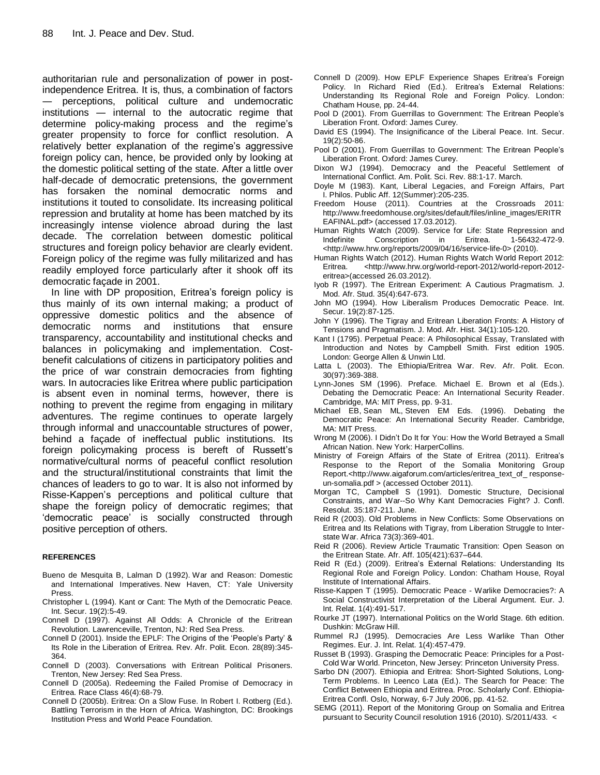authoritarian rule and personalization of power in postindependence Eritrea. It is, thus, a combination of factors ― perceptions, political culture and undemocratic institutions ― internal to the autocratic regime that determine policy-making process and the regime's greater propensity to force for conflict resolution. A relatively better explanation of the regime's aggressive foreign policy can, hence, be provided only by looking at the domestic political setting of the state. After a little over half-decade of democratic pretensions, the government has forsaken the nominal democratic norms and institutions it touted to consolidate. Its increasing political repression and brutality at home has been matched by its increasingly intense violence abroad during the last decade. The correlation between domestic political structures and foreign policy behavior are clearly evident. Foreign policy of the regime was fully militarized and has readily employed force particularly after it shook off its democratic façade in 2001.

In line with DP proposition, Eritrea's foreign policy is thus mainly of its own internal making; a product of oppressive domestic politics and the absence of democratic norms and institutions that ensure transparency, accountability and institutional checks and balances in policymaking and implementation. Costbenefit calculations of citizens in participatory polities and the price of war constrain democracies from fighting wars. In autocracies like Eritrea where public participation is absent even in nominal terms, however, there is nothing to prevent the regime from engaging in military adventures. The regime continues to operate largely through informal and unaccountable structures of power, behind a façade of ineffectual public institutions. Its foreign policymaking process is bereft of Russett's normative/cultural norms of peaceful conflict resolution and the structural/institutional constraints that limit the chances of leaders to go to war. It is also not informed by Risse-Kappen's perceptions and political culture that shape the foreign policy of democratic regimes; that 'democratic peace' is socially constructed through positive perception of others.

#### **REFERENCES**

- Bueno de Mesquita B, Lalman D (1992). War and Reason: Domestic and International Imperatives. New Haven, CT: Yale University Press.
- Christopher L (1994). Kant or Cant: The Myth of the Democratic Peace. Int. Secur. 19(2):5-49.
- Connell D (1997). Against All Odds: A Chronicle of the Eritrean Revolution. Lawrenceville, Trenton, NJ: Red Sea Press.
- Connell D (2001). Inside the EPLF: The Origins of the 'People's Party' & Its Role in the Liberation of Eritrea. Rev. Afr. Polit. Econ. 28(89):345- 364.
- Connell D (2003). Conversations with Eritrean Political Prisoners. Trenton, New Jersey: Red Sea Press.
- Connell D (2005a). Redeeming the Failed Promise of Democracy in Eritrea. Race Class 46(4):68-79.
- Connell D (2005b). Eritrea: On a Slow Fuse. In Robert I. Rotberg (Ed.). Battling Terrorism in the Horn of Africa. Washington, DC: Brookings Institution Press and World Peace Foundation.
- Connell D (2009). How EPLF Experience Shapes Eritrea's Foreign Policy. In Richard Ried (Ed.). Eritrea's External Relations: Understanding Its Regional Role and Foreign Policy. London: Chatham House, pp. 24-44.
- Pool D (2001). From Guerrillas to Government: The Eritrean People's Liberation Front*.* Oxford: James Curey.
- David ES (1994). The Insignificance of the Liberal Peace. Int. Secur. 19(2):50-86.
- Pool D (2001). From Guerrillas to Government: The Eritrean People's Liberation Front. Oxford: James Curey.
- Dixon WJ (1994). Democracy and the Peaceful Settlement of International Conflict. Am. Polit. Sci. Rev. 88:1-17. March.
- Doyle M (1983). Kant, Liberal Legacies, and Foreign Affairs, Part I. Philos. Public Aff. 12(Summer):205-235.
- Freedom House (2011). Countries at the Crossroads 2011: http://www.freedomhouse.org/sites/default/files/inline\_images/ERITR EAFINAL.pdf> (accessed 17.03.2012).
- Human Rights Watch (2009). Service for Life: State Repression and Indefinite Conscription in Eritrea. 1-56432-472-9. <http://www.hrw.org/reports/2009/04/16/service-life-0> (2010).
- Human Rights Watch (2012). Human Rights Watch World Report 2012: Eritrea. <http://www.hrw.org/world-report-2012/world-report-2012 eritrea>(accessed 26.03.2012).
- Iyob R (1997). The Eritrean Experiment: A Cautious Pragmatism. J. Mod. Afr. Stud. 35(4):647-673.
- John MO (1994). How Liberalism Produces Democratic Peace. Int. Secur. 19(2):87-125.
- John Y (1996). The Tigray and Eritrean Liberation Fronts: A History of Tensions and Pragmatism. J. Mod. Afr. Hist. [34\(1\):1](http://www.jstor.org/stable/i301375)05-120.
- Kant I (1795). Perpetual Peace: A Philosophical Essay, Translated with Introduction and Notes by Campbell Smith. First edition 1905. London: George Allen & Unwin Ltd.
- Latta L (2003). The Ethiopia/Eritrea War. Rev. Afr. Polit. Econ. 30(97):369-388.
- Lynn-Jones SM (1996). Preface. Michael E. Brown et al (Eds.). Debating the Democratic Peace: An International Security Reader. Cambridge, MA: MIT Press, pp. 9-31.
- Michael EB, Sean ML, Steven EM Eds. (1996). Debating the Democratic Peace: An International Security Reader. Cambridge, MA: MIT Press.
- Wrong M (2006). I Didn't Do It for You: How the World Betrayed a Small African Nation. New York: HarperCollins.
- Ministry of Foreign Affairs of the State of Eritrea (2011)*.* Eritrea's Response to the Report of the Somalia Monitoring Group Report.<http://www.aigaforum.com/articles/eritrea\_text\_of\_ responseun-somalia.pdf > (accessed October 2011).
- Morgan TC, Campbell S (1991). Domestic Structure, Decisional Constraints, and War--So Why Kant Democracies Fight? J. Confl. Resolut. 35:187-211. June.
- Reid R (2003). Old Problems in New Conflicts: Some Observations on Eritrea and Its Relations with Tigray, from Liberation Struggle to Interstate War. Africa 73(3):369-401.
- Reid R (2006). Review Article Traumatic Transition: Open Season on the Eritrean State. Afr. Aff. 105(421):637–644.
- Reid R (Ed.) (2009). Eritrea's External Relations: Understanding Its Regional Role and Foreign Policy. London: Chatham House, Royal Institute of International Affairs.
- Risse-Kappen T (1995). Democratic Peace Warlike Democracies?: A Social Constructivist Interpretation of the Liberal Argument. Eur. J. Int. Relat. 1(4):491-517.
- Rourke JT (1997). International Politics on the World Stage. 6th edition. Dushkin: McGraw Hill.
- Rummel RJ (1995). Democracies Are Less Warlike Than Other Regimes. Eur. J. Int. Relat. 1(4):457-479.
- Russet B (1993). Grasping the Democratic Peace: Principles for a Post-Cold War World. Princeton, New Jersey: Princeton University Press.
- Sarbo DN (2007). Ethiopia and Eritrea: Short-Sighted Solutions, Long-Term Problems. In Leenco Lata (Ed.). The Search for Peace: The Conflict Between Ethiopia and Eritrea. Proc. Scholarly Conf. Ethiopia-Eritrea Confl. Oslo, Norway, 6-7 July 2006, pp. 41-52.
- SEMG (2011). Report of the Monitoring Group on Somalia and Eritrea pursuant to Security Council resolution 1916 (2010). S/2011/433. <